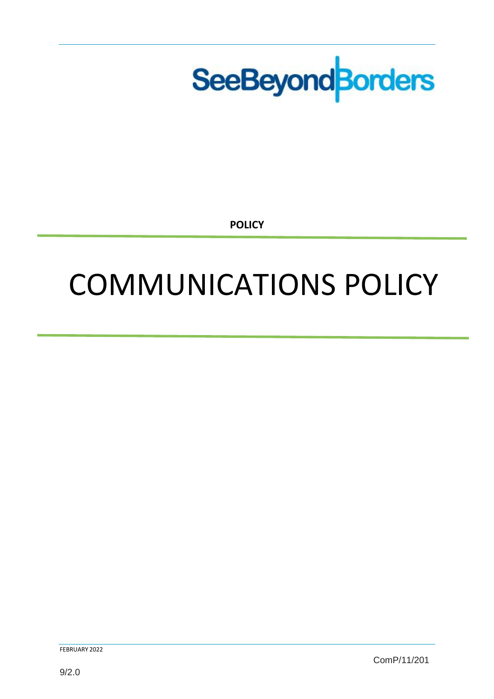

**POLICY**

# COMMUNICATIONS POLICY

FEBRUARY 2022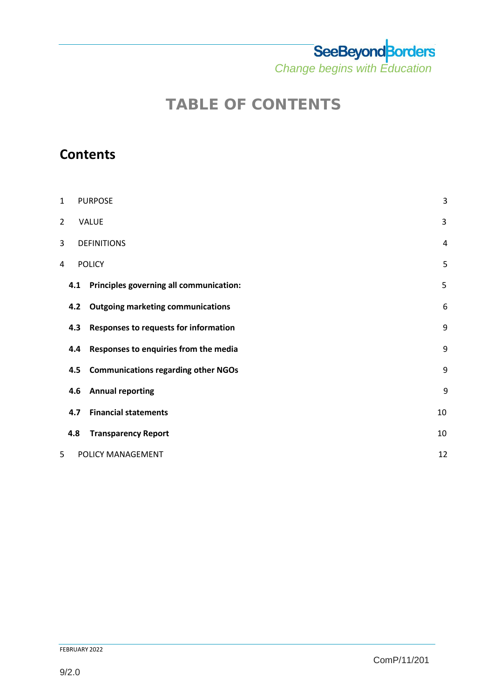*Change begins with Education* 

## **TABLE OF CONTENTS**

## **Contents**

| $\mathbf 1$ |     | <b>PURPOSE</b>                             | 3  |  |  |  |  |
|-------------|-----|--------------------------------------------|----|--|--|--|--|
| 2           |     | <b>VALUE</b>                               | 3  |  |  |  |  |
| 3           |     | <b>DEFINITIONS</b>                         |    |  |  |  |  |
| 4           |     | <b>POLICY</b>                              | 5  |  |  |  |  |
|             | 4.1 | Principles governing all communication:    | 5  |  |  |  |  |
|             | 4.2 | <b>Outgoing marketing communications</b>   | 6  |  |  |  |  |
|             | 4.3 | Responses to requests for information      | 9  |  |  |  |  |
|             | 4.4 | Responses to enquiries from the media      | 9  |  |  |  |  |
|             | 4.5 | <b>Communications regarding other NGOs</b> | 9  |  |  |  |  |
|             | 4.6 | <b>Annual reporting</b>                    | 9  |  |  |  |  |
|             | 4.7 | <b>Financial statements</b>                | 10 |  |  |  |  |
|             | 4.8 | <b>Transparency Report</b>                 | 10 |  |  |  |  |
| 5           |     | POLICY MANAGEMENT                          | 12 |  |  |  |  |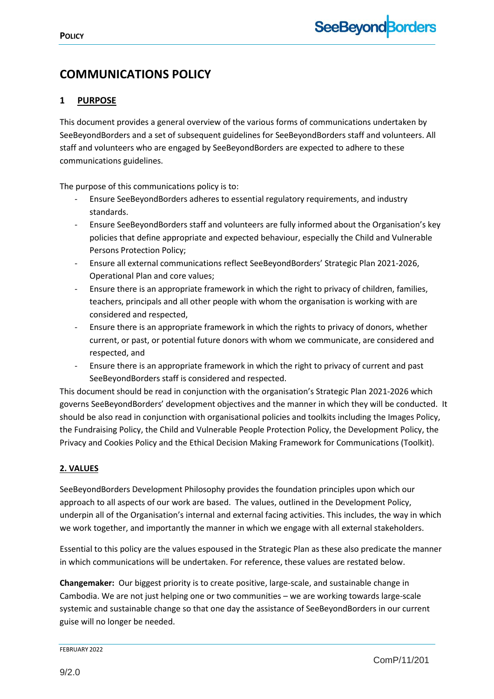### **COMMUNICATIONS POLICY**

#### <span id="page-2-0"></span>**1 PURPOSE**

This document provides a general overview of the various forms of communications undertaken by SeeBeyondBorders and a set of subsequent guidelines for SeeBeyondBorders staff and volunteers. All staff and volunteers who are engaged by SeeBeyondBorders are expected to adhere to these communications guidelines.

The purpose of this communications policy is to:

- Ensure SeeBeyondBorders adheres to essential regulatory requirements, and industry standards.
- Ensure SeeBeyondBorders staff and volunteers are fully informed about the Organisation's key policies that define appropriate and expected behaviour, especially the Child and Vulnerable Persons Protection Policy;
- Ensure all external communications reflect SeeBeyondBorders' Strategic Plan 2021-2026, Operational Plan and core values;
- Ensure there is an appropriate framework in which the right to privacy of children, families, teachers, principals and all other people with whom the organisation is working with are considered and respected,
- Ensure there is an appropriate framework in which the rights to privacy of donors, whether current, or past, or potential future donors with whom we communicate, are considered and respected, and
- Ensure there is an appropriate framework in which the right to privacy of current and past SeeBeyondBorders staff is considered and respected.

This document should be read in conjunction with the organisation's Strategic Plan 2021-2026 which governs SeeBeyondBorders' development objectives and the manner in which they will be conducted. It should be also read in conjunction with organisational policies and toolkits including the Images Policy, the Fundraising Policy, the Child and Vulnerable People Protection Policy, the Development Policy, the Privacy and Cookies Policy and the Ethical Decision Making Framework for Communications (Toolkit).

#### **2. VALUES**

SeeBeyondBorders Development Philosophy provides the foundation principles upon which our approach to all aspects of our work are based. The values, outlined in the Development Policy, underpin all of the Organisation's internal and external facing activities. This includes, the way in which we work together, and importantly the manner in which we engage with all external stakeholders.

Essential to this policy are the values espoused in the Strategic Plan as these also predicate the manner in which communications will be undertaken. For reference, these values are restated below.

**Changemaker:** Our biggest priority is to create positive, large-scale, and sustainable change in Cambodia. We are not just helping one or two communities – we are working towards large-scale systemic and sustainable change so that one day the assistance of SeeBeyondBorders in our current guise will no longer be needed.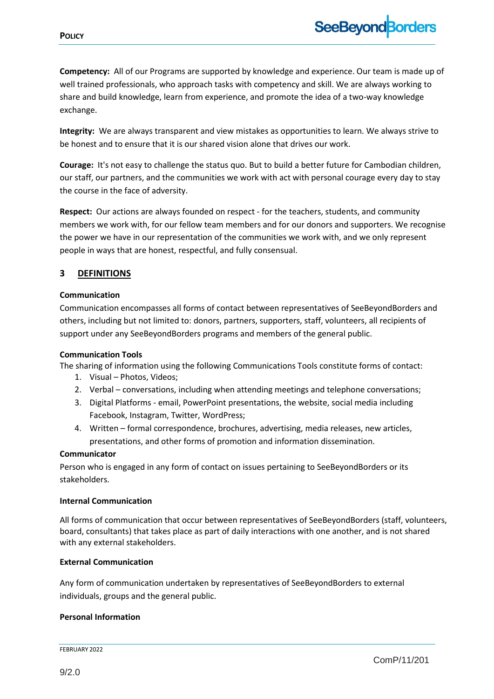**Competency:** All of our Programs are supported by knowledge and experience. Our team is made up of well trained professionals, who approach tasks with competency and skill. We are always working to share and build knowledge, learn from experience, and promote the idea of a two-way knowledge exchange.

**Integrity:** We are always transparent and view mistakes as opportunities to learn. We always strive to be honest and to ensure that it is our shared vision alone that drives our work.

**Courage:** It's not easy to challenge the status quo. But to build a better future for Cambodian children, our staff, our partners, and the communities we work with act with personal courage every day to stay the course in the face of adversity.

**Respect:** Our actions are always founded on respect - for the teachers, students, and community members we work with, for our fellow team members and for our donors and supporters. We recognise the power we have in our representation of the communities we work with, and we only represent people in ways that are honest, respectful, and fully consensual.

#### <span id="page-3-0"></span>**3 DEFINITIONS**

#### **Communication**

Communication encompasses all forms of contact between representatives of SeeBeyondBorders and others, including but not limited to: donors, partners, supporters, staff, volunteers, all recipients of support under any SeeBeyondBorders programs and members of the general public.

#### **Communication Tools**

The sharing of information using the following Communications Tools constitute forms of contact:

- 1. Visual Photos, Videos;
- 2. Verbal conversations, including when attending meetings and telephone conversations;
- 3. Digital Platforms email, PowerPoint presentations, the website, social media including Facebook, Instagram, Twitter, WordPress;
- 4. Written formal correspondence, brochures, advertising, media releases, new articles, presentations, and other forms of promotion and information dissemination.

#### **Communicator**

Person who is engaged in any form of contact on issues pertaining to SeeBeyondBorders or its stakeholders.

#### **Internal Communication**

All forms of communication that occur between representatives of SeeBeyondBorders (staff, volunteers, board, consultants) that takes place as part of daily interactions with one another, and is not shared with any external stakeholders.

#### **External Communication**

Any form of communication undertaken by representatives of SeeBeyondBorders to external individuals, groups and the general public.

#### **Personal Information**

FEBRUARY 2022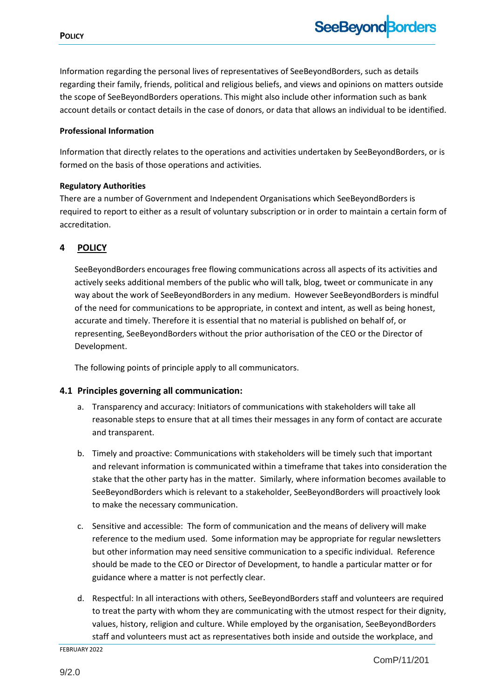Information regarding the personal lives of representatives of SeeBeyondBorders, such as details regarding their family, friends, political and religious beliefs, and views and opinions on matters outside the scope of SeeBeyondBorders operations. This might also include other information such as bank account details or contact details in the case of donors, or data that allows an individual to be identified.

#### **Professional Information**

Information that directly relates to the operations and activities undertaken by SeeBeyondBorders, or is formed on the basis of those operations and activities.

#### **Regulatory Authorities**

There are a number of Government and Independent Organisations which SeeBeyondBorders is required to report to either as a result of voluntary subscription or in order to maintain a certain form of accreditation.

#### <span id="page-4-0"></span>**4 POLICY**

SeeBeyondBorders encourages free flowing communications across all aspects of its activities and actively seeks additional members of the public who will talk, blog, tweet or communicate in any way about the work of SeeBeyondBorders in any medium. However SeeBeyondBorders is mindful of the need for communications to be appropriate, in context and intent, as well as being honest, accurate and timely. Therefore it is essential that no material is published on behalf of, or representing, SeeBeyondBorders without the prior authorisation of the CEO or the Director of Development.

The following points of principle apply to all communicators.

#### <span id="page-4-1"></span>**4.1 Principles governing all communication:**

- a. Transparency and accuracy: Initiators of communications with stakeholders will take all reasonable steps to ensure that at all times their messages in any form of contact are accurate and transparent.
- b. Timely and proactive: Communications with stakeholders will be timely such that important and relevant information is communicated within a timeframe that takes into consideration the stake that the other party has in the matter. Similarly, where information becomes available to SeeBeyondBorders which is relevant to a stakeholder, SeeBeyondBorders will proactively look to make the necessary communication.
- c. Sensitive and accessible: The form of communication and the means of delivery will make reference to the medium used. Some information may be appropriate for regular newsletters but other information may need sensitive communication to a specific individual. Reference should be made to the CEO or Director of Development, to handle a particular matter or for guidance where a matter is not perfectly clear.
- d. Respectful: In all interactions with others, SeeBeyondBorders staff and volunteers are required to treat the party with whom they are communicating with the utmost respect for their dignity, values, history, religion and culture. While employed by the organisation, SeeBeyondBorders staff and volunteers must act as representatives both inside and outside the workplace, and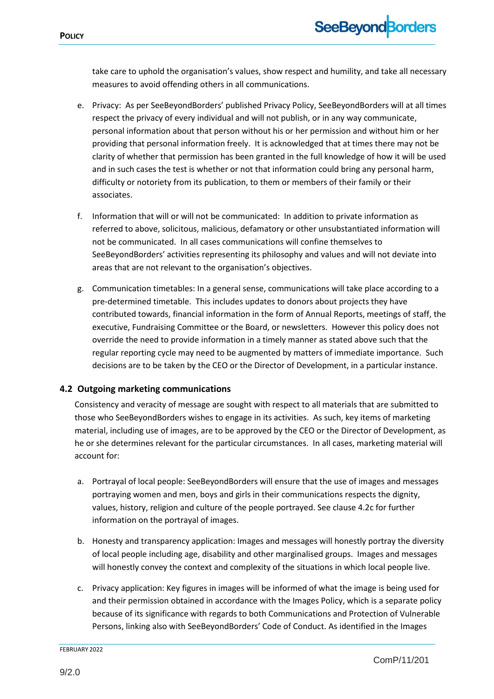take care to uphold the organisation's values, show respect and humility, and take all necessary measures to avoid offending others in all communications.

- e. Privacy: As per SeeBeyondBorders' published Privacy Policy, SeeBeyondBorders will at all times respect the privacy of every individual and will not publish, or in any way communicate, personal information about that person without his or her permission and without him or her providing that personal information freely. It is acknowledged that at times there may not be clarity of whether that permission has been granted in the full knowledge of how it will be used and in such cases the test is whether or not that information could bring any personal harm, difficulty or notoriety from its publication, to them or members of their family or their associates.
- f. Information that will or will not be communicated: In addition to private information as referred to above, solicitous, malicious, defamatory or other unsubstantiated information will not be communicated. In all cases communications will confine themselves to SeeBeyondBorders' activities representing its philosophy and values and will not deviate into areas that are not relevant to the organisation's objectives.
- g. Communication timetables: In a general sense, communications will take place according to a pre-determined timetable. This includes updates to donors about projects they have contributed towards, financial information in the form of Annual Reports, meetings of staff, the executive, Fundraising Committee or the Board, or newsletters. However this policy does not override the need to provide information in a timely manner as stated above such that the regular reporting cycle may need to be augmented by matters of immediate importance. Such decisions are to be taken by the CEO or the Director of Development, in a particular instance.

#### <span id="page-5-0"></span>**4.2 Outgoing marketing communications**

Consistency and veracity of message are sought with respect to all materials that are submitted to those who SeeBeyondBorders wishes to engage in its activities. As such, key items of marketing material, including use of images, are to be approved by the CEO or the Director of Development, as he or she determines relevant for the particular circumstances. In all cases, marketing material will account for:

- a. Portrayal of local people: SeeBeyondBorders will ensure that the use of images and messages portraying women and men, boys and girls in their communications respects the dignity, values, history, religion and culture of the people portrayed. See clause 4.2c for further information on the portrayal of images.
- b. Honesty and transparency application: Images and messages will honestly portray the diversity of local people including age, disability and other marginalised groups. Images and messages will honestly convey the context and complexity of the situations in which local people live.
- c. Privacy application: Key figures in images will be informed of what the image is being used for and their permission obtained in accordance with the Images Policy, which is a separate policy because of its significance with regards to both Communications and Protection of Vulnerable Persons, linking also with SeeBeyondBorders' Code of Conduct. As identified in the Images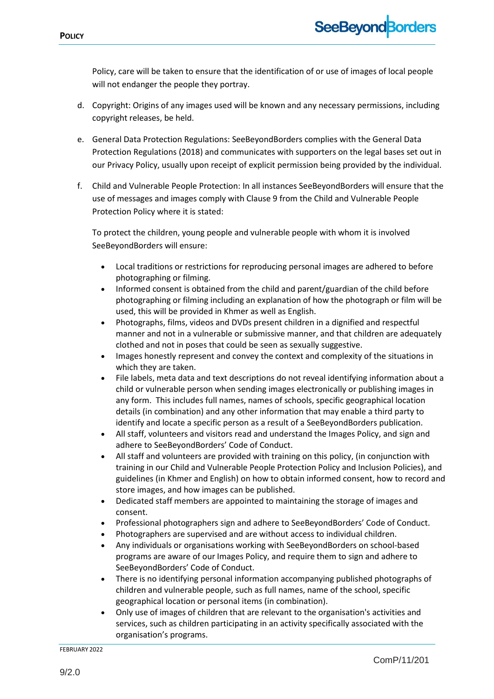Policy, care will be taken to ensure that the identification of or use of images of local people will not endanger the people they portray.

- d. Copyright: Origins of any images used will be known and any necessary permissions, including copyright releases, be held.
- e. General Data Protection Regulations: SeeBeyondBorders complies with the General Data Protection Regulations (2018) and communicates with supporters on the legal bases set out in our Privacy Policy, usually upon receipt of explicit permission being provided by the individual.
- f. Child and Vulnerable People Protection: In all instances SeeBeyondBorders will ensure that the use of messages and images comply with Clause 9 from the Child and Vulnerable People Protection Policy where it is stated:

To protect the children, young people and vulnerable people with whom it is involved SeeBeyondBorders will ensure:

- Local traditions or restrictions for reproducing personal images are adhered to before photographing or filming.
- Informed consent is obtained from the child and parent/guardian of the child before photographing or filming including an explanation of how the photograph or film will be used, this will be provided in Khmer as well as English.
- Photographs, films, videos and DVDs present children in a dignified and respectful manner and not in a vulnerable or submissive manner, and that children are adequately clothed and not in poses that could be seen as sexually suggestive.
- Images honestly represent and convey the context and complexity of the situations in which they are taken.
- File labels, meta data and text descriptions do not reveal identifying information about a child or vulnerable person when sending images electronically or publishing images in any form. This includes full names, names of schools, specific geographical location details (in combination) and any other information that may enable a third party to identify and locate a specific person as a result of a SeeBeyondBorders publication.
- All staff, volunteers and visitors read and understand the Images Policy, and sign and adhere to SeeBeyondBorders' Code of Conduct.
- All staff and volunteers are provided with training on this policy, (in conjunction with training in our Child and Vulnerable People Protection Policy and Inclusion Policies), and guidelines (in Khmer and English) on how to obtain informed consent, how to record and store images, and how images can be published.
- Dedicated staff members are appointed to maintaining the storage of images and consent.
- Professional photographers sign and adhere to SeeBeyondBorders' Code of Conduct.
- Photographers are supervised and are without access to individual children.
- Any individuals or organisations working with SeeBeyondBorders on school-based programs are aware of our Images Policy, and require them to sign and adhere to SeeBeyondBorders' Code of Conduct.
- There is no identifying personal information accompanying published photographs of children and vulnerable people, such as full names, name of the school, specific geographical location or personal items (in combination).
- Only use of images of children that are relevant to the organisation's activities and services, such as children participating in an activity specifically associated with the organisation's programs.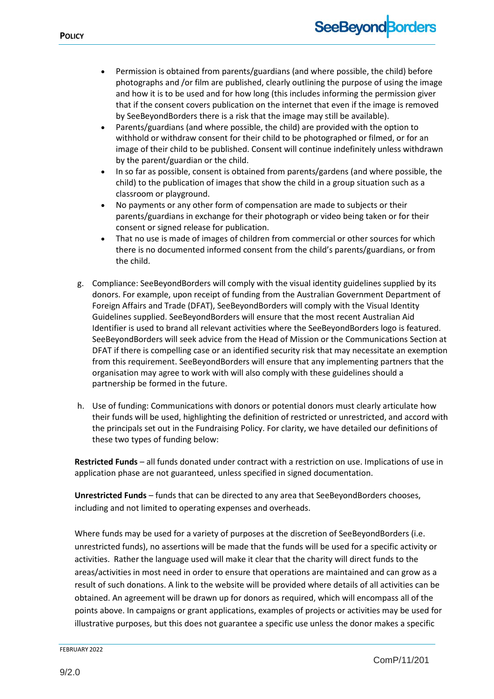- Permission is obtained from parents/guardians (and where possible, the child) before photographs and /or film are published, clearly outlining the purpose of using the image and how it is to be used and for how long (this includes informing the permission giver that if the consent covers publication on the internet that even if the image is removed by SeeBeyondBorders there is a risk that the image may still be available).
- Parents/guardians (and where possible, the child) are provided with the option to withhold or withdraw consent for their child to be photographed or filmed, or for an image of their child to be published. Consent will continue indefinitely unless withdrawn by the parent/guardian or the child.
- In so far as possible, consent is obtained from parents/gardens (and where possible, the child) to the publication of images that show the child in a group situation such as a classroom or playground.
- No payments or any other form of compensation are made to subjects or their parents/guardians in exchange for their photograph or video being taken or for their consent or signed release for publication.
- That no use is made of images of children from commercial or other sources for which there is no documented informed consent from the child's parents/guardians, or from the child.
- g. Compliance: SeeBeyondBorders will comply with the visual identity guidelines supplied by its donors. For example, upon receipt of funding from the Australian Government Department of Foreign Affairs and Trade (DFAT), SeeBeyondBorders will comply with the Visual Identity Guidelines supplied. SeeBeyondBorders will ensure that the most recent Australian Aid Identifier is used to brand all relevant activities where the SeeBeyondBorders logo is featured. SeeBeyondBorders will seek advice from the Head of Mission or the Communications Section at DFAT if there is compelling case or an identified security risk that may necessitate an exemption from this requirement. SeeBeyondBorders will ensure that any implementing partners that the organisation may agree to work with will also comply with these guidelines should a partnership be formed in the future.
- h. Use of funding: Communications with donors or potential donors must clearly articulate how their funds will be used, highlighting the definition of restricted or unrestricted, and accord with the principals set out in the Fundraising Policy. For clarity, we have detailed our definitions of these two types of funding below:

**Restricted Funds** – all funds donated under contract with a restriction on use. Implications of use in application phase are not guaranteed, unless specified in signed documentation.

**Unrestricted Funds** – funds that can be directed to any area that SeeBeyondBorders chooses, including and not limited to operating expenses and overheads.

Where funds may be used for a variety of purposes at the discretion of SeeBeyondBorders (i.e. unrestricted funds), no assertions will be made that the funds will be used for a specific activity or activities. Rather the language used will make it clear that the charity will direct funds to the areas/activities in most need in order to ensure that operations are maintained and can grow as a result of such donations. A link to the website will be provided where details of all activities can be obtained. An agreement will be drawn up for donors as required, which will encompass all of the points above. In campaigns or grant applications, examples of projects or activities may be used for illustrative purposes, but this does not guarantee a specific use unless the donor makes a specific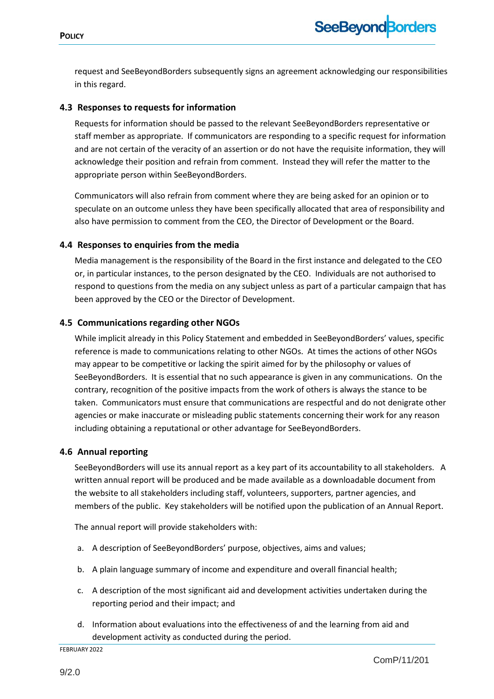request and SeeBeyondBorders subsequently signs an agreement acknowledging our responsibilities in this regard.

#### <span id="page-8-0"></span>**4.3 Responses to requests for information**

Requests for information should be passed to the relevant SeeBeyondBorders representative or staff member as appropriate. If communicators are responding to a specific request for information and are not certain of the veracity of an assertion or do not have the requisite information, they will acknowledge their position and refrain from comment. Instead they will refer the matter to the appropriate person within SeeBeyondBorders.

Communicators will also refrain from comment where they are being asked for an opinion or to speculate on an outcome unless they have been specifically allocated that area of responsibility and also have permission to comment from the CEO, the Director of Development or the Board.

#### <span id="page-8-1"></span>**4.4 Responses to enquiries from the media**

Media management is the responsibility of the Board in the first instance and delegated to the CEO or, in particular instances, to the person designated by the CEO. Individuals are not authorised to respond to questions from the media on any subject unless as part of a particular campaign that has been approved by the CEO or the Director of Development.

#### <span id="page-8-2"></span>**4.5 Communications regarding other NGOs**

While implicit already in this Policy Statement and embedded in SeeBeyondBorders' values, specific reference is made to communications relating to other NGOs. At times the actions of other NGOs may appear to be competitive or lacking the spirit aimed for by the philosophy or values of SeeBeyondBorders. It is essential that no such appearance is given in any communications. On the contrary, recognition of the positive impacts from the work of others is always the stance to be taken. Communicators must ensure that communications are respectful and do not denigrate other agencies or make inaccurate or misleading public statements concerning their work for any reason including obtaining a reputational or other advantage for SeeBeyondBorders.

#### <span id="page-8-3"></span>**4.6 Annual reporting**

SeeBeyondBorders will use its annual report as a key part of its accountability to all stakeholders. A written annual report will be produced and be made available as a downloadable document from the website to all stakeholders including staff, volunteers, supporters, partner agencies, and members of the public. Key stakeholders will be notified upon the publication of an Annual Report.

The annual report will provide stakeholders with:

- a. A description of SeeBeyondBorders' purpose, objectives, aims and values;
- b. A plain language summary of income and expenditure and overall financial health;
- c. A description of the most significant aid and development activities undertaken during the reporting period and their impact; and
- d. Information about evaluations into the effectiveness of and the learning from aid and development activity as conducted during the period.

FEBRUARY 2022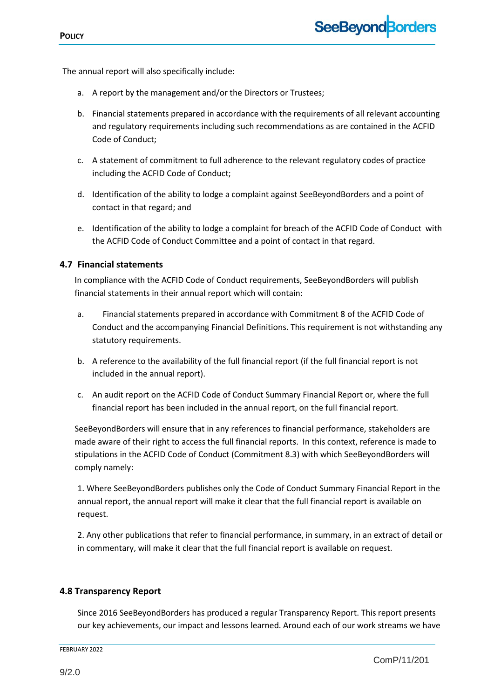The annual report will also specifically include:

- a. A report by the management and/or the Directors or Trustees;
- b. Financial statements prepared in accordance with the requirements of all relevant accounting and regulatory requirements including such recommendations as are contained in the ACFID Code of Conduct;
- c. A statement of commitment to full adherence to the relevant regulatory codes of practice including the ACFID Code of Conduct;
- d. Identification of the ability to lodge a complaint against SeeBeyondBorders and a point of contact in that regard; and
- e. Identification of the ability to lodge a complaint for breach of the ACFID Code of Conduct with the ACFID Code of Conduct Committee and a point of contact in that regard.

#### <span id="page-9-0"></span>**4.7 Financial statements**

In compliance with the ACFID Code of Conduct requirements, SeeBeyondBorders will publish financial statements in their annual report which will contain:

- a. Financial statements prepared in accordance with Commitment 8 of the ACFID Code of Conduct and the accompanying Financial Definitions. This requirement is not withstanding any statutory requirements.
- b. A reference to the availability of the full financial report (if the full financial report is not included in the annual report).
- c. An audit report on the ACFID Code of Conduct Summary Financial Report or, where the full financial report has been included in the annual report, on the full financial report.

SeeBeyondBorders will ensure that in any references to financial performance, stakeholders are made aware of their right to access the full financial reports. In this context, reference is made to stipulations in the ACFID Code of Conduct (Commitment 8.3) with which SeeBeyondBorders will comply namely:

1. Where SeeBeyondBorders publishes only the Code of Conduct Summary Financial Report in the annual report, the annual report will make it clear that the full financial report is available on request.

2. Any other publications that refer to financial performance, in summary, in an extract of detail or in commentary, will make it clear that the full financial report is available on request.

#### **4.8 Transparency Report**

Since 2016 SeeBeyondBorders has produced a regular Transparency Report. This report presents our key achievements, our impact and lessons learned. Around each of our work streams we have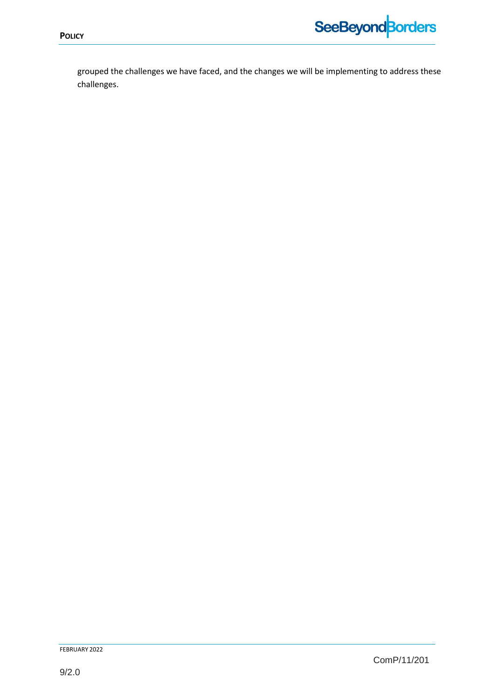

grouped the challenges we have faced, and the changes we will be implementing to address these challenges.